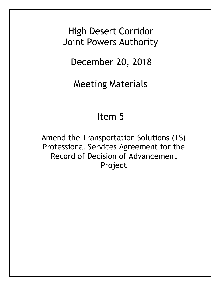High Desert Corridor Joint Powers Authority

December 20, 2018

Meeting Materials

## Item 5

Amend the Transportation Solutions (TS) Professional Services Agreement for the Record of Decision of Advancement Project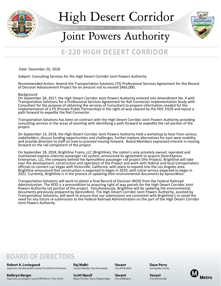

# High Desert Corridor



## Joint Powers Authority

## **E-220 HIGH DESERT CORRIDOR**

Date: December 20, 2018

Subject: Consulting Services for the High Desert Corridor Joint Powers Authority

Recommended Action: Amend the Transportation Solutions (TS) Professional Services Agreement for the Record of Decision Advancement Project for an amount not to exceed \$465,000.

Background

On September 28, 2017, the High Desert Corridor Joint Powers Authority entered into Amendment No. 4 with Transportation Solutions for a Professional Services Agreement for Rail Connector Implementation Study with Consultant for the purpose of obtaining the services of Consultant to prepare information needed for the implementation of a P3 (Private-Public Partnership) in the right-of-way cleared by the HDC EIS/R and layout a path forward to expedite the Rail Connector.

Transportation Solutions has been on contract with the High Desert Corridor Joint Powers Authority providing consulting services in the areas of assisting with identifying a path forward to expedite the rail portion of the project.

On September 13, 2018, the High Desert Corridor Joint Powers Authority held a workshop to hear from various stakeholders, discuss funding opportunities and challenges, further explore alternatives for east-west mobility, and provide direction to staff on how to proceed moving forward. Board Members expressed interest in moving forward on the rail component of the project.

On September 18, 2018, Brightline Trains, LLC (Brightline), the nation's only privately owned, operated and maintained express intercity passenger rail system, announced its agreement to acquire DesertXpress Enterprises, LLC, the company behind the XpressWest passenger rail project (the Project). Brightline will take over the development, construction and operation of the Project and work with federal and local transportation officials to connect Las Vegas with Victorville, California, with plans to expand into the Los Angeles area. Brightline announced that construction is expected to begin in 2019, with initial service expected to begin in 2022. Currently, Brightline is in the process of updating their environmental documents by XpressWest.

Transportation Solutions will work to obtain a final Record of Decision (ROD) from the Federal Railroad Administration. The ROD is a precondition to acquiring right of way parcels for the High Desert Corridor Joint Powers Authority rail portion of the project. Simultaneously, Brightline will be updating the environmental documents previously prepared by XpressWest. The High Desert Corridor Joint Powers Authority, assisted by Transportation Solutions, will work to ensure that our submissions are consistent with Brightline's to avoid the need for any future re-submission to the Federal Railroad Administration on the part of the High Desert Corridor Joint Powers Authority.

### **BOARD OF DIRECTORS**

**Robert A. Lovingood** Supervisor, San Bernardino County First District (Chairman)

Kathryn Barger Supervisor, Los Angeles County Fifth District (Vice-Chair)

Rai Malhi Council Member, City of Lancaster

Mayor Pro Tem, Town of Apple Valley

**Scott Nassif** 

Vacant City of Palmdale

City of Adelanto

Vacant

**Dave Perry** Los Angeles County

Vacant City of Victorville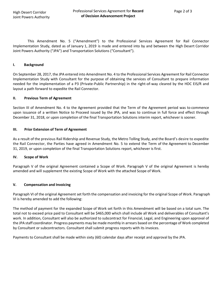This Amendment No. 5 ("Amendment") to the Professional Services Agreement for Rail Connector Implementation Study, dated as of January 1, 2019 is made and entered into by and between the High Desert Corridor Joint Powers Authority ("JPA") and Transportation Solutions ("Consultant").

#### **I. Background**

On September 28, 2017, the JPA entered into Amendment No. 4 to the Professional Services Agreement for Rail Connector Implementation Study with Consultant for the purpose of obtaining the services of Consultant to prepare information needed for the implementation of a P3 (Private-Public Partnership) in the right-of-way cleared by the HDC EIS/R and layout a path forward to expedite the Rail Connector.

#### **II. Previous Term of Agreement**

Section III of Amendment No. 4 to the Agreement provided that the Term of the Agreement period was to commence upon issuance of a written Notice to Proceed issued by the JPA, and was to continue in full force and effect through December 31, 2018, or upon completion of the final Transportation Solutions interim report, whichever is sooner.

#### **III. Prior Extension of Term of Agreement**

As a result of the previous Rail Ridership and Revenue Study, the Metro Tolling Study, and the Board's desire to expedite the Rail Connector, the Parties have agreed in Amendment No. 5 to extend the Term of the Agreement to December 31, 2019, or upon completion of the final Transportation Solutions report, whichever is first.

#### **IV. Scope of Work**

Paragraph V of the original Agreement contained a Scope of Work. Paragraph V of the original Agreement is hereby amended and will supplement the existing Scope of Work with the attached Scope of Work.

#### **V. Compensation and Invoicing**

Paragraph VI of the original Agreement set forth the compensation and invoicing for the original Scope of Work. Paragraph VI is hereby amended to add the following:

The method of payment for the expanded Scope of Work set forth in this Amendment will be based on a total sum. The total not to exceed price paid to Consultant will be \$465,000 which shall include all Work and deliverables of Consultant's work. In addition, Consultant will also be authorized to subcontract for Financial, Legal, and Engineering upon approval of the JPA staff coordinator. Progress payments may be made monthly in arrears based on the percentage of Work completed by Consultant or subcontractors. Consultant shall submit progress reports with its invoices.

Payments to Consultant shall be made within sixty (60) calendar days after receipt and approval by the JPA.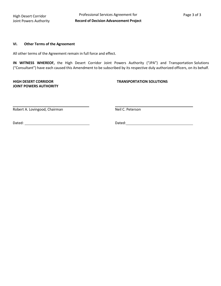#### **VI. Other Terms of the Agreement**

All other terms of the Agreement remain in full force and effect.

**IN WITNESS WHEREOF,** the High Desert Corridor Joint Powers Authority ("JPA") and Transportation Solutions ("Consultant") have each caused this Amendment to be subscribed by its respective duly authorized officers, on its behalf.

**JOINT POWERS AUTHORITY**

#### **HIGH DESERT CORRIDOR TRANSPORTATION SOLUTIONS**

Robert A. Lovingood, Chairman Neil C. Peterson

Dated: Dated: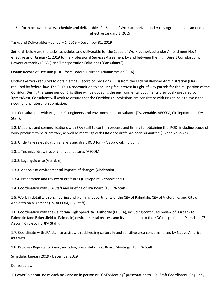Set forth below are tasks, schedule and deliverables for Scope of Work authorized under this Agreement, as amended effective January 1, 2019.

Tasks and Deliverables – January 1, 2019 – December 31, 2019

Set forth below are the tasks, schedules and deliverable for the Scope of Work authorized under Amendment No. 5 effective as of January 1, 2019 to the Professional Services Agreement by and between the High Desert Corridor Joint Powers Authority ("JPA") and Transportation Solutions ("Consultant").

Obtain Record of Decision (ROD) from Federal Railroad Administration (FRA).

Undertake work required to obtain a final Record of Decision (ROD) from the Federal Railroad Administration (FRA) required by federal law. The ROD is a precondition to acquiring fee interest in right of way parcels for the rail portion of the Corridor. During the same period, Brightline will be updating the environmental documents previously prepared by XpressWest. Consultant will work to ensure that the Corridor's submissions are consistent with Brightline's to avoid the need for any future re-submission.

1.1. Consultations with Brightline's engineers and environmental consultants (TS, Venable, AECOM, Circlepoint and JPA Staff).

1.2. Meetings and communications with FRA staff to confirm process and timing for obtaining the ROD, including scope of work products to be submitted, as well as meetings with FRA once draft has been submitted (TS and Venable).

1.3. Undertake re-evaluation analysis and draft ROD for FRA approval, including:

1.3.1. Technical drawings of changed features (AECOM);

1.3.2. Legal guidance (Venable);

1.3.3. Analysis of environmental impacts of changes (Circlepoint);

1.3.4. Preparation and review of draft ROD (Circlepoint, Venable and TS).

1.4. Coordination with JPA Staff and briefing of JPA Board (TS, JPA Staff).

1.5. Work in detail with engineering and planning departments of the City of Palmdale, City of Victorville, and City of Adelanto on alignment (TS, AECOM, JPA Staff).

1.6. Coordination with the California High Speed Rail Authority (CHSRA), including continued review of Burbank to Palmdale (and Bakersfield to Palmdale) environmental process and its connection to the HDC rail project at Palmdale (TS, Aecom, Circlepoint, JPA Staff).

1.7. Coordinate with JPA staff to assist with addressing culturally and sensitive area concerns raised by Native American interests.

1.8. Progress Reports to Board, including presentations at Board Meetings (TS, JPA Staff).

Schedule: January 2019 - December 2019

Deliverables:

1. PowerPoint outline of each task and an in person or "GoToMeeting" presentation to HDC Staff Coordinator. Regularly